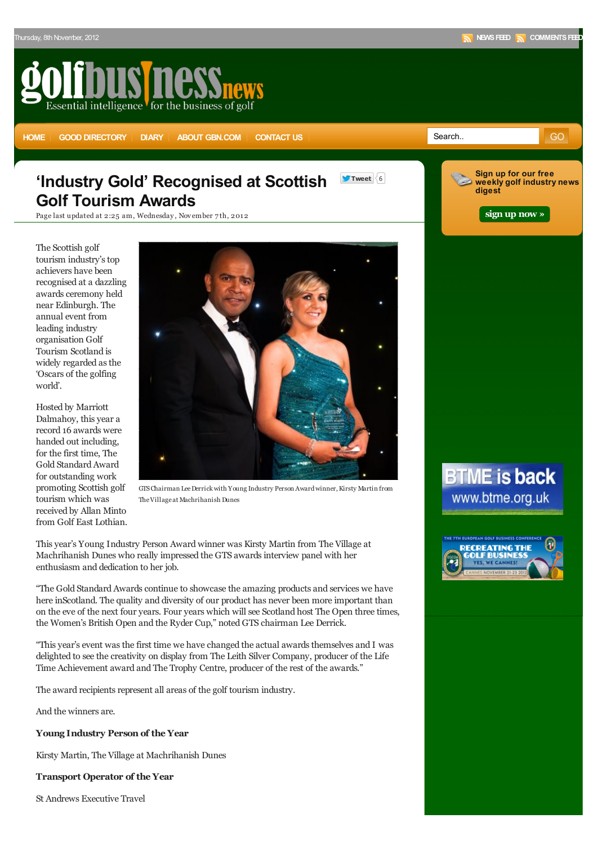**Sign up for our free weekly golf industry news**

GO

**[sign up now »](http://eepurl.com/bpOC9)**

**digest**

# Essential intelligence for the business of golf

**[HOME](http://www.golfbusinessnews.com) [GOOD DIRECTORY](http://www.golfbusinessnews.com/golf-owners-operators-developers-directory/) [DIARY](http://www.golfbusinessnews.com/diary/) [ABOUT GBN.COM](http://www.golfbusinessnews.com/about/) [CONTACT US](http://www.golfbusinessnews.com/contact-us/) CONTACT OF CONTACT ABOUT GBS** 

## **'Industry Gold' Recognised at Scottish Golf Tourism Awards**

**Tweet** 6

Page last updated at 2:25 am, Wednesday, November 7th, 2012

The Scottish golf tourism industry's top achievers have been recognised at a dazzling awards ceremony held near Edinburgh. The annual event from leading industry organisation Golf Tourism Scotland is widely regarded as the 'Oscars of the golfing world'.

Hosted by Marriott Dalmahoy, this year a record 16 awards were handed out including, for the first time, The Gold Standard Award for outstanding work promoting Scottish golf tourism which was received by Allan Minto from Golf East Lothian.



GTS Chairman Lee Derrick with Young Industry Person Award winner, Kirsty Martin from The Village at Machrihanish Dunes

This year's Young Industry Person Award winner was Kirsty Martin from The Village at Machrihanish Dunes who really impressed the GTS awards interview panel with her enthusiasm and dedication to her job.

"The Gold Standard Awards continue to showcase the amazing products and services we have here inScotland. The quality and diversity of our product has never been more important than on the eve of the next four years. Four years which will see Scotland host The Open three times, the Women's British Open and the Ryder Cup," noted GTS chairman Lee Derrick.

"This year's event was the first time we have changed the actual awards themselves and I was delighted to see the creativity on display from The Leith Silver Company, producer of the Life Time Achievement award and The Trophy Centre, producer of the rest of the awards."

The award recipients represent all areas of the golf tourism industry.

And the winners are.

**Young Industry Person of the Year**

Kirsty Martin, The Village at Machrihanish Dunes

**Transport Operator of the Year**

St Andrews Executive Travel

# **BTME is back** www.btme.org.uk